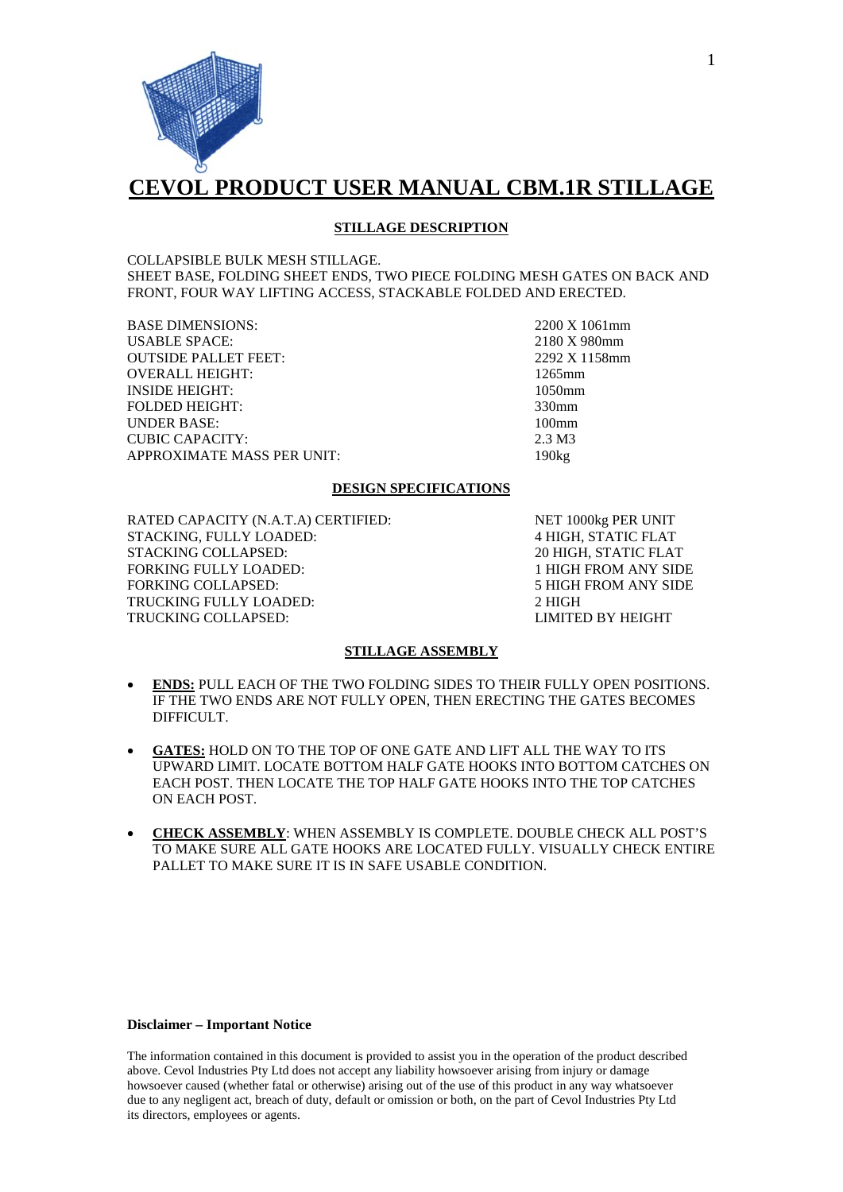

## **CEVOL PRODUCT USER MANUAL CBM.1R STILLAGE**

## **STILLAGE DESCRIPTION**

COLLAPSIBLE BULK MESH STILLAGE. SHEET BASE, FOLDING SHEET ENDS, TWO PIECE FOLDING MESH GATES ON BACK AND FRONT, FOUR WAY LIFTING ACCESS, STACKABLE FOLDED AND ERECTED.

BASE DIMENSIONS: 2200 X 1061mm<br>USABLE SPACE: 2180 X 980mm USABLE SPACE: 2180 X 980mm<br>
OUTSIDE PALLET FEET: 2292 X 1158mm **OUTSIDE PALLET FEET:** OVERALL HEIGHT: 1265mm INSIDE HEIGHT: 1050mm FOLDED HEIGHT: 330mm UNDER BASE: 100mm CUBIC CAPACITY: 2.3 M3 APPROXIMATE MASS PER UNIT: 190kg

### **DESIGN SPECIFICATIONS**

RATED CAPACITY (N.A.T.A) CERTIFIED: NET 1000kg PER UNIT STACKING, FULLY LOADED: 4 HIGH, STATIC FLAT STACKING COLLAPSED: FORKING FULLY LOADED: 1 HIGH FROM ANY SIDE TRUCKING FULLY LOADED: 2 HIGH TRUCKING COLLAPSED: LIMITED BY HEIGHT

**5 HIGH FROM ANY SIDE** 

### **STILLAGE ASSEMBLY**

- **ENDS:** PULL EACH OF THE TWO FOLDING SIDES TO THEIR FULLY OPEN POSITIONS. IF THE TWO ENDS ARE NOT FULLY OPEN, THEN ERECTING THE GATES BECOMES DIFFICULT.
- **GATES:** HOLD ON TO THE TOP OF ONE GATE AND LIFT ALL THE WAY TO ITS UPWARD LIMIT. LOCATE BOTTOM HALF GATE HOOKS INTO BOTTOM CATCHES ON EACH POST. THEN LOCATE THE TOP HALF GATE HOOKS INTO THE TOP CATCHES ON EACH POST.
- **CHECK ASSEMBLY**: WHEN ASSEMBLY IS COMPLETE. DOUBLE CHECK ALL POST'S TO MAKE SURE ALL GATE HOOKS ARE LOCATED FULLY. VISUALLY CHECK ENTIRE PALLET TO MAKE SURE IT IS IN SAFE USABLE CONDITION.

### **Disclaimer – Important Notice**

The information contained in this document is provided to assist you in the operation of the product described above. Cevol Industries Pty Ltd does not accept any liability howsoever arising from injury or damage howsoever caused (whether fatal or otherwise) arising out of the use of this product in any way whatsoever due to any negligent act, breach of duty, default or omission or both, on the part of Cevol Industries Pty Ltd its directors, employees or agents.